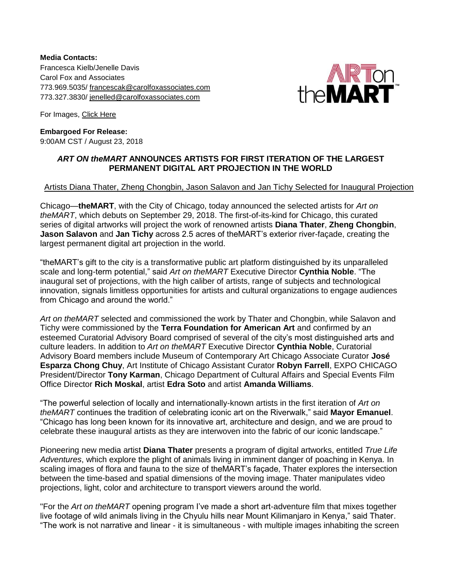**Media Contacts:** Francesca Kielb/Jenelle Davis Carol Fox and Associates 773.969.5035/ [francescak@carolfoxassociates.com](mailto:francescak@carolfoxassociates.com) 773.327.3830/ [jenelled@carolfoxassociates.com](mailto:jenelled@carolfoxassociates.com)



For Images, [Click Here](https://carolfox.box.com/s/ykfohafpkfayg96msv2y6b3w2ju5sgsd)

## **Embargoed For Release:** 9:00AM CST / August 23, 2018

# *ART ON theMART* **ANNOUNCES ARTISTS FOR FIRST ITERATION OF THE LARGEST PERMANENT DIGITAL ART PROJECTION IN THE WORLD**

## Artists Diana Thater, Zheng Chongbin, Jason Salavon and Jan Tichy Selected for Inaugural Projection

Chicago—**theMART**, with the City of Chicago, today announced the selected artists for *Art on theMART*, which debuts on September 29, 2018. The first-of-its-kind for Chicago, this curated series of digital artworks will project the work of renowned artists **Diana Thater**, **Zheng Chongbin**, **Jason Salavon** and **Jan Tichy** across 2.5 acres of theMART's exterior river-façade, creating the largest permanent digital art projection in the world.

"theMART's gift to the city is a transformative public art platform distinguished by its unparalleled scale and long-term potential," said *Art on theMART* Executive Director **Cynthia Noble**. "The inaugural set of projections, with the high caliber of artists, range of subjects and technological innovation, signals limitless opportunities for artists and cultural organizations to engage audiences from Chicago and around the world."

*Art on theMART* selected and commissioned the work by Thater and Chongbin, while Salavon and Tichy were commissioned by the **Terra Foundation for American Art** and confirmed by an esteemed Curatorial Advisory Board comprised of several of the city's most distinguished arts and culture leaders. In addition to *Art on theMART* Executive Director **Cynthia Noble**, Curatorial Advisory Board members include Museum of Contemporary Art Chicago Associate Curator **José Esparza Chong Chuy**, Art Institute of Chicago Assistant Curator **Robyn Farrell**, EXPO CHICAGO President/Director **Tony Karman**, Chicago Department of Cultural Affairs and Special Events Film Office Director **Rich Moskal**, artist **Edra Soto** and artist **Amanda Williams**.

"The powerful selection of locally and internationally-known artists in the first iteration of *Art on theMART* continues the tradition of celebrating iconic art on the Riverwalk," said **Mayor Emanuel**. "Chicago has long been known for its innovative art, architecture and design, and we are proud to celebrate these inaugural artists as they are interwoven into the fabric of our iconic landscape."

Pioneering new media artist **Diana Thater** presents a program of digital artworks, entitled *True Life Adventures*, which explore the plight of animals living in imminent danger of poaching in Kenya. In scaling images of flora and fauna to the size of theMART's façade, Thater explores the intersection between the time-based and spatial dimensions of the moving image. Thater manipulates video projections, light, color and architecture to transport viewers around the world.

"For the *Art on theMART* opening program I've made a short art-adventure film that mixes together live footage of wild animals living in the Chyulu hills near Mount Kilimanjaro in Kenya," said Thater. "The work is not narrative and linear - it is simultaneous - with multiple images inhabiting the screen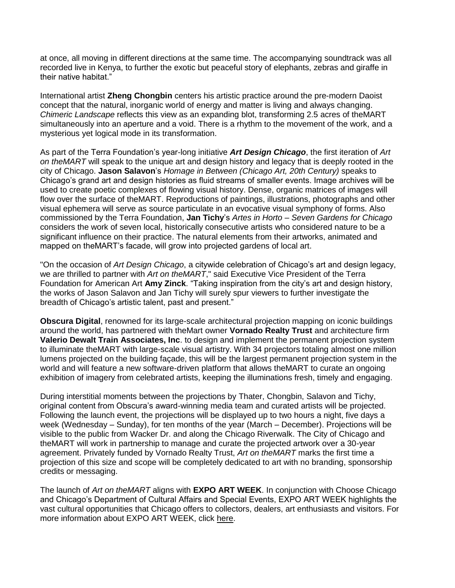at once, all moving in different directions at the same time. The accompanying soundtrack was all recorded live in Kenya, to further the exotic but peaceful story of elephants, zebras and giraffe in their native habitat."

International artist **Zheng Chongbin** centers his artistic practice around the pre-modern Daoist concept that the natural, inorganic world of energy and matter is living and always changing. *Chimeric Landscape* reflects this view as an expanding blot, transforming 2.5 acres of theMART simultaneously into an aperture and a void. There is a rhythm to the movement of the work, and a mysterious yet logical mode in its transformation.

As part of the Terra Foundation's year-long initiative *Art Design Chicago*, the first iteration of *Art on theMART* will speak to the unique art and design history and legacy that is deeply rooted in the city of Chicago. **Jason Salavon**'s *Homage in Between (Chicago Art, 20th Century)* speaks to Chicago's grand art and design histories as fluid streams of smaller events. Image archives will be used to create poetic complexes of flowing visual history. Dense, organic matrices of images will flow over the surface of theMART. Reproductions of paintings, illustrations, photographs and other visual ephemera will serve as source particulate in an evocative visual symphony of forms. Also commissioned by the Terra Foundation, **Jan Tichy**'s *Artes in Horto – Seven Gardens for Chicago* considers the work of seven local, historically consecutive artists who considered nature to be a significant influence on their practice. The natural elements from their artworks, animated and mapped on theMART's facade, will grow into projected gardens of local art.

"On the occasion of *Art Design Chicago*, a citywide celebration of Chicago's art and design legacy, we are thrilled to partner with *Art on theMART*," said Executive Vice President of the Terra Foundation for American Art **Amy Zinck**. "Taking inspiration from the city's art and design history, the works of Jason Salavon and Jan Tichy will surely spur viewers to further investigate the breadth of Chicago's artistic talent, past and present."

**Obscura Digital**, renowned for its large-scale architectural projection mapping on iconic buildings around the world, has partnered with theMart owner **Vornado Realty Trust** and architecture firm **Valerio Dewalt Train Associates, Inc**. to design and implement the permanent projection system to illuminate theMART with large-scale visual artistry. With 34 projectors totaling almost one million lumens projected on the building façade, this will be the largest permanent projection system in the world and will feature a new software-driven platform that allows theMART to curate an ongoing exhibition of imagery from celebrated artists, keeping the illuminations fresh, timely and engaging.

During interstitial moments between the projections by Thater, Chongbin, Salavon and Tichy, original content from Obscura's award-winning media team and curated artists will be projected. Following the launch event, the projections will be displayed up to two hours a night, five days a week (Wednesday – Sunday), for ten months of the year (March – December). Projections will be visible to the public from Wacker Dr. and along the Chicago Riverwalk. The City of Chicago and theMART will work in partnership to manage and curate the projected artwork over a 30-year agreement. Privately funded by Vornado Realty Trust, *Art on theMART* marks the first time a projection of this size and scope will be completely dedicated to art with no branding, sponsorship credits or messaging.

The launch of *Art on theMART* aligns with **EXPO ART WEEK**. In conjunction with Choose Chicago and Chicago's Department of Cultural Affairs and Special Events, EXPO ART WEEK highlights the vast cultural opportunities that Chicago offers to collectors, dealers, art enthusiasts and visitors. For more information about EXPO ART WEEK, click [here.](https://www.expochicago.com/visit/expo-art-week)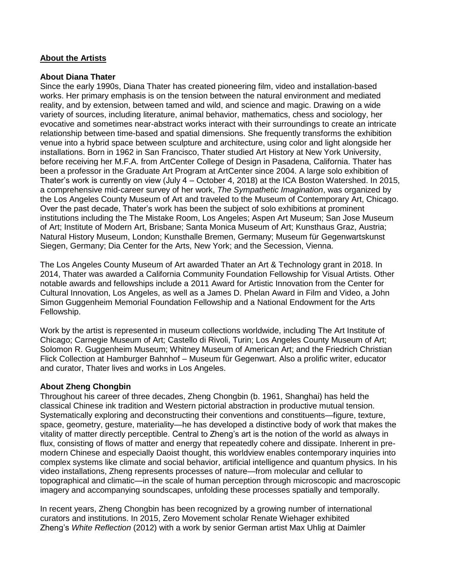## **About the Artists**

#### **About Diana Thater**

Since the early 1990s, Diana Thater has created pioneering film, video and installation-based works. Her primary emphasis is on the tension between the natural environment and mediated reality, and by extension, between tamed and wild, and science and magic. Drawing on a wide variety of sources, including literature, animal behavior, mathematics, chess and sociology, her evocative and sometimes near-abstract works interact with their surroundings to create an intricate relationship between time-based and spatial dimensions. She frequently transforms the exhibition venue into a hybrid space between sculpture and architecture, using color and light alongside her installations. Born in 1962 in San Francisco, Thater studied Art History at New York University, before receiving her M.F.A. from ArtCenter College of Design in Pasadena, California. Thater has been a professor in the Graduate Art Program at ArtCenter since 2004. A large solo exhibition of Thater's work is currently on view (July 4 – October 4, 2018) at the ICA Boston Watershed. In 2015, a comprehensive mid-career survey of her work, *The Sympathetic Imagination*, was organized by the Los Angeles County Museum of Art and traveled to the Museum of Contemporary Art, Chicago. Over the past decade, Thater's work has been the subject of solo exhibitions at prominent institutions including the The Mistake Room, Los Angeles; Aspen Art Museum; San Jose Museum of Art; Institute of Modern Art, Brisbane; Santa Monica Museum of Art; Kunsthaus Graz, Austria; Natural History Museum, London; Kunsthalle Bremen, Germany; Museum für Gegenwartskunst Siegen, Germany; Dia Center for the Arts, New York; and the Secession, Vienna.

The Los Angeles County Museum of Art awarded Thater an Art & Technology grant in 2018. In 2014, Thater was awarded a California Community Foundation Fellowship for Visual Artists. Other notable awards and fellowships include a 2011 Award for Artistic Innovation from the Center for Cultural Innovation, Los Angeles, as well as a James D. Phelan Award in Film and Video, a John Simon Guggenheim Memorial Foundation Fellowship and a National Endowment for the Arts Fellowship.

Work by the artist is represented in museum collections worldwide, including The Art Institute of Chicago; Carnegie Museum of Art; Castello di Rivoli, Turin; Los Angeles County Museum of Art; Solomon R. Guggenheim Museum; Whitney Museum of American Art; and the Friedrich Christian Flick Collection at Hamburger Bahnhof – Museum für Gegenwart. Also a prolific writer, educator and curator, Thater lives and works in Los Angeles.

## **About Zheng Chongbin**

Throughout his career of three decades, Zheng Chongbin (b. 1961, Shanghai) has held the classical Chinese ink tradition and Western pictorial abstraction in productive mutual tension. Systematically exploring and deconstructing their conventions and constituents—figure, texture, space, geometry, gesture, materiality—he has developed a distinctive body of work that makes the vitality of matter directly perceptible. Central to Zheng's art is the notion of the world as always in flux, consisting of flows of matter and energy that repeatedly cohere and dissipate. Inherent in premodern Chinese and especially Daoist thought, this worldview enables contemporary inquiries into complex systems like climate and social behavior, artificial intelligence and quantum physics. In his video installations, Zheng represents processes of nature—from molecular and cellular to topographical and climatic—in the scale of human perception through microscopic and macroscopic imagery and accompanying soundscapes, unfolding these processes spatially and temporally.

In recent years, Zheng Chongbin has been recognized by a growing number of international curators and institutions. In 2015, Zero Movement scholar Renate Wiehager exhibited Zheng's *White Reflection* (2012) with a work by senior German artist Max Uhlig at Daimler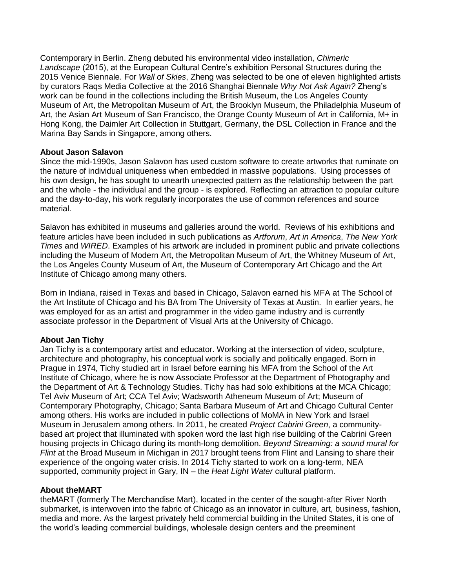Contemporary in Berlin. Zheng debuted his environmental video installation, *Chimeric Landscape* (2015), at the European Cultural Centre's exhibition Personal Structures during the 2015 Venice Biennale. For *Wall of Skies*, Zheng was selected to be one of eleven highlighted artists by curators Raqs Media Collective at the 2016 Shanghai Biennale *Why Not Ask Again?* Zheng's work can be found in the collections including the British Museum, the Los Angeles County Museum of Art, the Metropolitan Museum of Art, the Brooklyn Museum, the Philadelphia Museum of Art, the Asian Art Museum of San Francisco, the Orange County Museum of Art in California, M+ in Hong Kong, the Daimler Art Collection in Stuttgart, Germany, the DSL Collection in France and the Marina Bay Sands in Singapore, among others.

## **About Jason Salavon**

Since the mid-1990s, Jason Salavon has used custom software to create artworks that ruminate on the nature of individual uniqueness when embedded in massive populations. Using processes of his own design, he has sought to unearth unexpected pattern as the relationship between the part and the whole - the individual and the group - is explored. Reflecting an attraction to popular culture and the day-to-day, his work regularly incorporates the use of common references and source material.

Salavon has exhibited in museums and galleries around the world. Reviews of his exhibitions and feature articles have been included in such publications as *Artforum*, *Art in America*, *The New York Times* and *WIRED*. Examples of his artwork are included in prominent public and private collections including the Museum of Modern Art, the Metropolitan Museum of Art, the Whitney Museum of Art, the Los Angeles County Museum of Art, the Museum of Contemporary Art Chicago and the Art Institute of Chicago among many others.

Born in Indiana, raised in Texas and based in Chicago, Salavon earned his MFA at The School of the Art Institute of Chicago and his BA from The University of Texas at Austin. In earlier years, he was employed for as an artist and programmer in the video game industry and is currently associate professor in the Department of Visual Arts at the University of Chicago.

## **About Jan Tichy**

Jan Tichy is a contemporary artist and educator. Working at the intersection of video, sculpture, architecture and photography, his conceptual work is socially and politically engaged. Born in Prague in 1974, Tichy studied art in Israel before earning his MFA from the School of the Art Institute of Chicago, where he is now Associate Professor at the Department of Photography and the Department of Art & Technology Studies. Tichy has had solo exhibitions at the MCA Chicago; Tel Aviv Museum of Art; CCA Tel Aviv; Wadsworth Atheneum Museum of Art; Museum of Contemporary Photography, Chicago; Santa Barbara Museum of Art and Chicago Cultural Center among others. His works are included in public collections of MoMA in New York and Israel Museum in Jerusalem among others. In 2011, he created *Project Cabrini Green*, a communitybased art project that illuminated with spoken word the last high rise building of the Cabrini Green housing projects in Chicago during its month-long demolition. *Beyond Streaming: a sound mural for Flint* at the Broad Museum in Michigan in 2017 brought teens from Flint and Lansing to share their experience of the ongoing water crisis. In 2014 Tichy started to work on a long-term, NEA supported, community project in Gary, IN – the *Heat Light Water* cultural platform.

## **About theMART**

theMART (formerly The Merchandise Mart), located in the center of the sought-after River North submarket, is interwoven into the fabric of Chicago as an innovator in culture, art, business, fashion, media and more. As the largest privately held commercial building in the United States, it is one of the world's leading commercial buildings, wholesale design centers and the preeminent